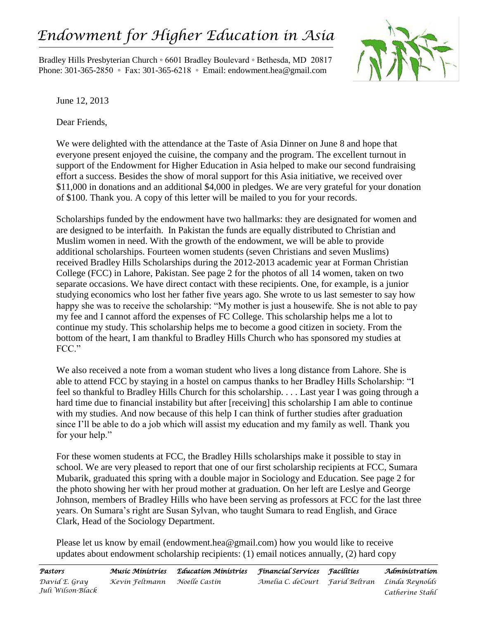## *Endowment for Higher Education in Asia*

Bradley Hills Presbyterian Church ◦ 6601 Bradley Boulevard ◦ Bethesda, MD 20817 Phone: 301-365-2850 ◦ Fax: 301-365-6218 ◦ Email: endowment.hea@gmail.com



June 12, 2013

Dear Friends,

We were delighted with the attendance at the Taste of Asia Dinner on June 8 and hope that everyone present enjoyed the cuisine, the company and the program. The excellent turnout in support of the Endowment for Higher Education in Asia helped to make our second fundraising effort a success. Besides the show of moral support for this Asia initiative, we received over \$11,000 in donations and an additional \$4,000 in pledges. We are very grateful for your donation of \$100. Thank you. A copy of this letter will be mailed to you for your records.

Scholarships funded by the endowment have two hallmarks: they are designated for women and are designed to be interfaith. In Pakistan the funds are equally distributed to Christian and Muslim women in need. With the growth of the endowment, we will be able to provide additional scholarships. Fourteen women students (seven Christians and seven Muslims) received Bradley Hills Scholarships during the 2012-2013 academic year at Forman Christian College (FCC) in Lahore, Pakistan. See page 2 for the photos of all 14 women, taken on two separate occasions. We have direct contact with these recipients. One, for example, is a junior studying economics who lost her father five years ago. She wrote to us last semester to say how happy she was to receive the scholarship: "My mother is just a housewife. She is not able to pay my fee and I cannot afford the expenses of FC College. This scholarship helps me a lot to continue my study. This scholarship helps me to become a good citizen in society. From the bottom of the heart, I am thankful to Bradley Hills Church who has sponsored my studies at FCC."

We also received a note from a woman student who lives a long distance from Lahore. She is able to attend FCC by staying in a hostel on campus thanks to her Bradley Hills Scholarship: "I feel so thankful to Bradley Hills Church for this scholarship. . . . Last year I was going through a hard time due to financial instability but after [receiving] this scholarship I am able to continue with my studies. And now because of this help I can think of further studies after graduation since I'll be able to do a job which will assist my education and my family as well. Thank you for your help."

For these women students at FCC, the Bradley Hills scholarships make it possible to stay in school. We are very pleased to report that one of our first scholarship recipients at FCC, Sumara Mubarik, graduated this spring with a double major in Sociology and Education. See page 2 for the photo showing her with her proud mother at graduation. On her left are Leslye and George Johnson, members of Bradley Hills who have been serving as professors at FCC for the last three years. On Sumara's right are Susan Sylvan, who taught Sumara to read English, and Grace Clark, Head of the Sociology Department.

Please let us know by email (endowment.hea@gmail.com) how you would like to receive updates about endowment scholarship recipients: (1) email notices annually, (2) hard copy